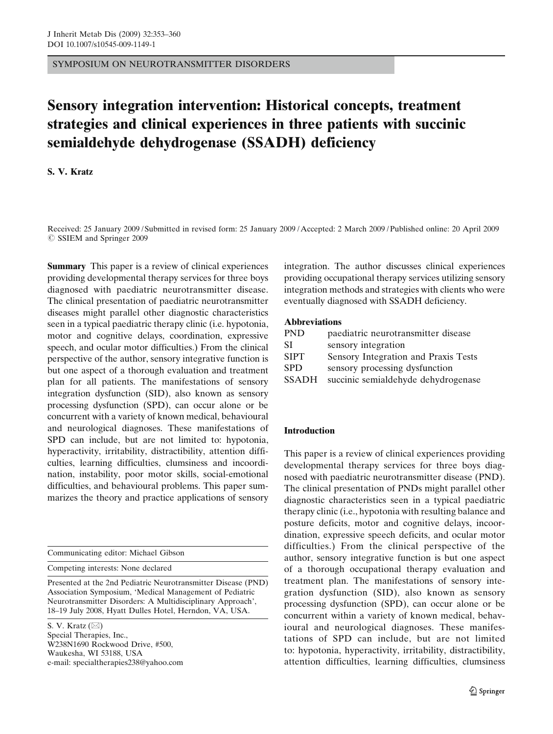SYMPOSIUM ON NEUROTRANSMITTER DISORDERS

# Sensory integration intervention: Historical concepts, treatment strategies and clinical experiences in three patients with succinic semialdehyde dehydrogenase (SSADH) deficiency

# S. V. Kratz

Received: 25 January 2009 / Submitted in revised form: 25 January 2009 /Accepted: 2 March 2009 /Published online: 20 April 2009  $\oslash$  SSIEM and Springer 2009

Summary This paper is a review of clinical experiences providing developmental therapy services for three boys diagnosed with paediatric neurotransmitter disease. The clinical presentation of paediatric neurotransmitter diseases might parallel other diagnostic characteristics seen in a typical paediatric therapy clinic (i.e. hypotonia, motor and cognitive delays, coordination, expressive speech, and ocular motor difficulties.) From the clinical perspective of the author, sensory integrative function is but one aspect of a thorough evaluation and treatment plan for all patients. The manifestations of sensory integration dysfunction (SID), also known as sensory processing dysfunction (SPD), can occur alone or be concurrent with a variety of known medical, behavioural and neurological diagnoses. These manifestations of SPD can include, but are not limited to: hypotonia, hyperactivity, irritability, distractibility, attention difficulties, learning difficulties, clumsiness and incoordination, instability, poor motor skills, social-emotional difficulties, and behavioural problems. This paper summarizes the theory and practice applications of sensory

| Communicating editor: Michael Gibson |  |
|--------------------------------------|--|
|--------------------------------------|--|

Competing interests: None declared

Presented at the 2nd Pediatric Neurotransmitter Disease (PND) Association Symposium, 'Medical Management of Pediatric Neurotransmitter Disorders: A Multidisciplinary Approach\_, 18–19 July 2008, Hyatt Dulles Hotel, Herndon, VA, USA.

S. V. Kratz  $(\boxtimes)$ Special Therapies, Inc., W238N1690 Rockwood Drive, #500, Waukesha, WI 53188, USA e-mail: specialtherapies238@yahoo.com integration. The author discusses clinical experiences providing occupational therapy services utilizing sensory integration methods and strategies with clients who were eventually diagnosed with SSADH deficiency.

## Abbreviations

| <b>PND</b>   | paediatric neurotransmitter disease  |
|--------------|--------------------------------------|
| SІ           | sensory integration                  |
| <b>SIPT</b>  | Sensory Integration and Praxis Tests |
| <b>SPD</b>   | sensory processing dysfunction       |
| <b>SSADH</b> | succinic semialdehyde dehydrogenase  |

# Introduction

This paper is a review of clinical experiences providing developmental therapy services for three boys diagnosed with paediatric neurotransmitter disease (PND). The clinical presentation of PNDs might parallel other diagnostic characteristics seen in a typical paediatric therapy clinic (i.e., hypotonia with resulting balance and posture deficits, motor and cognitive delays, incoordination, expressive speech deficits, and ocular motor difficulties.) From the clinical perspective of the author, sensory integrative function is but one aspect of a thorough occupational therapy evaluation and treatment plan. The manifestations of sensory integration dysfunction (SID), also known as sensory processing dysfunction (SPD), can occur alone or be concurrent within a variety of known medical, behavioural and neurological diagnoses. These manifestations of SPD can include, but are not limited to: hypotonia, hyperactivity, irritability, distractibility, attention difficulties, learning difficulties, clumsiness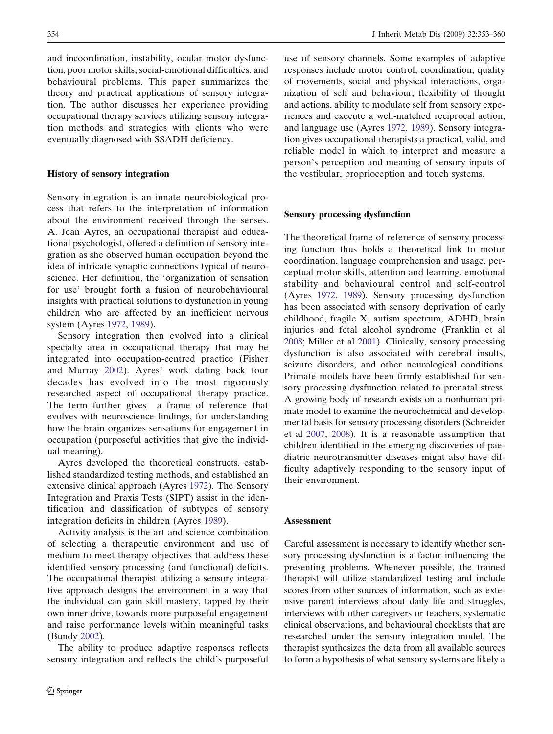and incoordination, instability, ocular motor dysfunction, poor motor skills, social-emotional difficulties, and behavioural problems. This paper summarizes the theory and practical applications of sensory integration. The author discusses her experience providing occupational therapy services utilizing sensory integration methods and strategies with clients who were eventually diagnosed with SSADH deficiency.

## History of sensory integration

Sensory integration is an innate neurobiological process that refers to the interpretation of information about the environment received through the senses. A. Jean Ayres, an occupational therapist and educational psychologist, offered a definition of sensory integration as she observed human occupation beyond the idea of intricate synaptic connections typical of neuroscience. Her definition, the 'organization of sensation for use' brought forth a fusion of neurobehavioural insights with practical solutions to dysfunction in young children who are affected by an inefficient nervous system (Ayres [1972,](#page-7-0) [1989](#page-7-0)).

Sensory integration then evolved into a clinical specialty area in occupational therapy that may be integrated into occupation-centred practice (Fisher and Murray [2002\)](#page-7-0). Ayres' work dating back four decades has evolved into the most rigorously researched aspect of occupational therapy practice. The term further gives a frame of reference that evolves with neuroscience findings, for understanding how the brain organizes sensations for engagement in occupation (purposeful activities that give the individual meaning).

Ayres developed the theoretical constructs, established standardized testing methods, and established an extensive clinical approach (Ayres [1972](#page-7-0)). The Sensory Integration and Praxis Tests (SIPT) assist in the identification and classification of subtypes of sensory integration deficits in children (Ayres [1989\)](#page-7-0).

Activity analysis is the art and science combination of selecting a therapeutic environment and use of medium to meet therapy objectives that address these identified sensory processing (and functional) deficits. The occupational therapist utilizing a sensory integrative approach designs the environment in a way that the individual can gain skill mastery, tapped by their own inner drive, towards more purposeful engagement and raise performance levels within meaningful tasks (Bundy [2002\)](#page-7-0).

The ability to produce adaptive responses reflects sensory integration and reflects the child's purposeful

use of sensory channels. Some examples of adaptive responses include motor control, coordination, quality of movements, social and physical interactions, organization of self and behaviour, flexibility of thought and actions, ability to modulate self from sensory experiences and execute a well-matched reciprocal action, and language use (Ayres [1972,](#page-7-0) [1989\)](#page-7-0). Sensory integration gives occupational therapists a practical, valid, and reliable model in which to interpret and measure a person's perception and meaning of sensory inputs of the vestibular, proprioception and touch systems.

#### Sensory processing dysfunction

The theoretical frame of reference of sensory processing function thus holds a theoretical link to motor coordination, language comprehension and usage, perceptual motor skills, attention and learning, emotional stability and behavioural control and self-control (Ayres [1972](#page-7-0), [1989\)](#page-7-0). Sensory processing dysfunction has been associated with sensory deprivation of early childhood, fragile X, autism spectrum, ADHD, brain injuries and fetal alcohol syndrome (Franklin et al [2008](#page-7-0); Miller et al [2001\)](#page-7-0). Clinically, sensory processing dysfunction is also associated with cerebral insults, seizure disorders, and other neurological conditions. Primate models have been firmly established for sensory processing dysfunction related to prenatal stress. A growing body of research exists on a nonhuman primate model to examine the neurochemical and developmental basis for sensory processing disorders (Schneider et al [2007](#page-7-0), [2008](#page-7-0)). It is a reasonable assumption that children identified in the emerging discoveries of paediatric neurotransmitter diseases might also have difficulty adaptively responding to the sensory input of their environment.

## **Assessment**

Careful assessment is necessary to identify whether sensory processing dysfunction is a factor influencing the presenting problems. Whenever possible, the trained therapist will utilize standardized testing and include scores from other sources of information, such as extensive parent interviews about daily life and struggles, interviews with other caregivers or teachers, systematic clinical observations, and behavioural checklists that are researched under the sensory integration model. The therapist synthesizes the data from all available sources to form a hypothesis of what sensory systems are likely a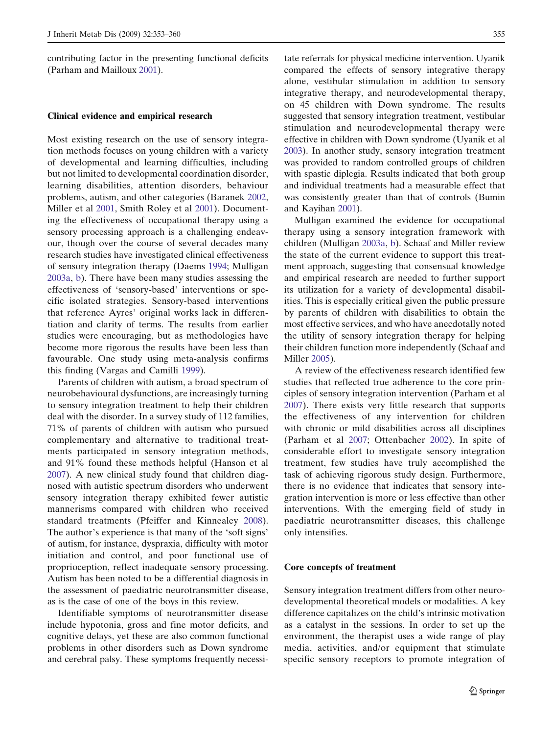contributing factor in the presenting functional deficits (Parham and Mailloux [2001](#page-7-0)).

#### Clinical evidence and empirical research

Most existing research on the use of sensory integration methods focuses on young children with a variety of developmental and learning difficulties, including but not limited to developmental coordination disorder, learning disabilities, attention disorders, behaviour problems, autism, and other categories (Baranek [2002,](#page-7-0) Miller et al [2001,](#page-7-0) Smith Roley et al [2001](#page-7-0)). Documenting the effectiveness of occupational therapy using a sensory processing approach is a challenging endeavour, though over the course of several decades many research studies have investigated clinical effectiveness of sensory integration therapy (Daems [1994](#page-7-0); Mulligan [2003a,](#page-7-0) [b](#page-7-0)). There have been many studies assessing the effectiveness of 'sensory-based' interventions or specific isolated strategies. Sensory-based interventions that reference Ayres' original works lack in differentiation and clarity of terms. The results from earlier studies were encouraging, but as methodologies have become more rigorous the results have been less than favourable. One study using meta-analysis confirms this finding (Vargas and Camilli [1999](#page-7-0)).

Parents of children with autism, a broad spectrum of neurobehavioural dysfunctions, are increasingly turning to sensory integration treatment to help their children deal with the disorder. In a survey study of 112 families, 71% of parents of children with autism who pursued complementary and alternative to traditional treatments participated in sensory integration methods, and 91% found these methods helpful (Hanson et al [2007\)](#page-7-0). A new clinical study found that children diagnosed with autistic spectrum disorders who underwent sensory integration therapy exhibited fewer autistic mannerisms compared with children who received standard treatments (Pfeiffer and Kinnealey [2008\)](#page-7-0). The author's experience is that many of the 'soft signs' of autism, for instance, dyspraxia, difficulty with motor initiation and control, and poor functional use of proprioception, reflect inadequate sensory processing. Autism has been noted to be a differential diagnosis in the assessment of paediatric neurotransmitter disease, as is the case of one of the boys in this review.

Identifiable symptoms of neurotransmitter disease include hypotonia, gross and fine motor deficits, and cognitive delays, yet these are also common functional problems in other disorders such as Down syndrome and cerebral palsy. These symptoms frequently necessi-

tate referrals for physical medicine intervention. Uyanik compared the effects of sensory integrative therapy alone, vestibular stimulation in addition to sensory integrative therapy, and neurodevelopmental therapy, on 45 children with Down syndrome. The results suggested that sensory integration treatment, vestibular stimulation and neurodevelopmental therapy were effective in children with Down syndrome (Uyanik et al [2003\)](#page-7-0). In another study, sensory integration treatment was provided to random controlled groups of children with spastic diplegia. Results indicated that both group and individual treatments had a measurable effect that was consistently greater than that of controls (Bumin and Kayihan [2001\)](#page-7-0).

Mulligan examined the evidence for occupational therapy using a sensory integration framework with children (Mulligan [2003a](#page-7-0), [b\)](#page-7-0). Schaaf and Miller review the state of the current evidence to support this treatment approach, suggesting that consensual knowledge and empirical research are needed to further support its utilization for a variety of developmental disabilities. This is especially critical given the public pressure by parents of children with disabilities to obtain the most effective services, and who have anecdotally noted the utility of sensory integration therapy for helping their children function more independently (Schaaf and Miller [2005\)](#page-7-0).

A review of the effectiveness research identified few studies that reflected true adherence to the core principles of sensory integration intervention (Parham et al [2007](#page-7-0)). There exists very little research that supports the effectiveness of any intervention for children with chronic or mild disabilities across all disciplines (Parham et al [2007;](#page-7-0) Ottenbacher [2002](#page-7-0)). In spite of considerable effort to investigate sensory integration treatment, few studies have truly accomplished the task of achieving rigorous study design. Furthermore, there is no evidence that indicates that sensory integration intervention is more or less effective than other interventions. With the emerging field of study in paediatric neurotransmitter diseases, this challenge only intensifies.

#### Core concepts of treatment

Sensory integration treatment differs from other neurodevelopmental theoretical models or modalities. A key difference capitalizes on the child's intrinsic motivation as a catalyst in the sessions. In order to set up the environment, the therapist uses a wide range of play media, activities, and/or equipment that stimulate specific sensory receptors to promote integration of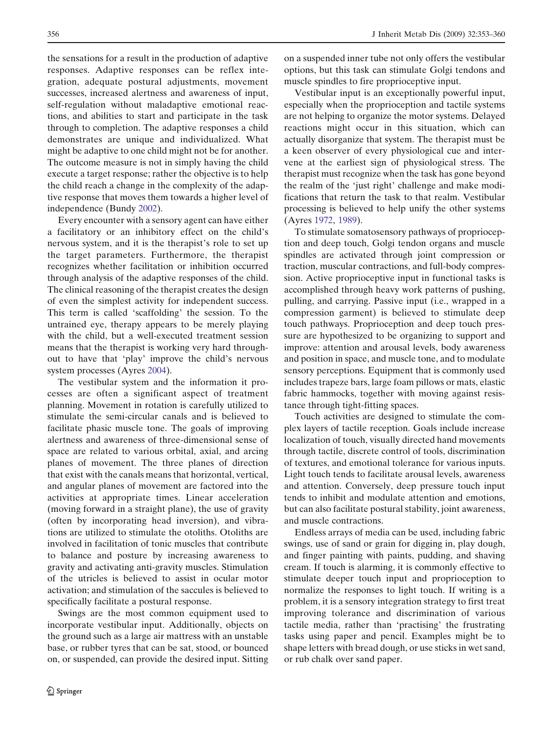the sensations for a result in the production of adaptive responses. Adaptive responses can be reflex integration, adequate postural adjustments, movement successes, increased alertness and awareness of input, self-regulation without maladaptive emotional reactions, and abilities to start and participate in the task through to completion. The adaptive responses a child demonstrates are unique and individualized. What might be adaptive to one child might not be for another. The outcome measure is not in simply having the child execute a target response; rather the objective is to help the child reach a change in the complexity of the adaptive response that moves them towards a higher level of independence (Bundy [2002](#page-7-0)).

Every encounter with a sensory agent can have either a facilitatory or an inhibitory effect on the child's nervous system, and it is the therapist's role to set up the target parameters. Furthermore, the therapist recognizes whether facilitation or inhibition occurred through analysis of the adaptive responses of the child. The clinical reasoning of the therapist creates the design of even the simplest activity for independent success. This term is called 'scaffolding' the session. To the untrained eye, therapy appears to be merely playing with the child, but a well-executed treatment session means that the therapist is working very hard throughout to have that 'play' improve the child's nervous system processes (Ayres [2004](#page-7-0)).

The vestibular system and the information it processes are often a significant aspect of treatment planning. Movement in rotation is carefully utilized to stimulate the semi-circular canals and is believed to facilitate phasic muscle tone. The goals of improving alertness and awareness of three-dimensional sense of space are related to various orbital, axial, and arcing planes of movement. The three planes of direction that exist with the canals means that horizontal, vertical, and angular planes of movement are factored into the activities at appropriate times. Linear acceleration (moving forward in a straight plane), the use of gravity (often by incorporating head inversion), and vibrations are utilized to stimulate the otoliths. Otoliths are involved in facilitation of tonic muscles that contribute to balance and posture by increasing awareness to gravity and activating anti-gravity muscles. Stimulation of the utricles is believed to assist in ocular motor activation; and stimulation of the saccules is believed to specifically facilitate a postural response.

Swings are the most common equipment used to incorporate vestibular input. Additionally, objects on the ground such as a large air mattress with an unstable base, or rubber tyres that can be sat, stood, or bounced on, or suspended, can provide the desired input. Sitting

on a suspended inner tube not only offers the vestibular options, but this task can stimulate Golgi tendons and muscle spindles to fire proprioceptive input.

Vestibular input is an exceptionally powerful input, especially when the proprioception and tactile systems are not helping to organize the motor systems. Delayed reactions might occur in this situation, which can actually disorganize that system. The therapist must be a keen observer of every physiological cue and intervene at the earliest sign of physiological stress. The therapist must recognize when the task has gone beyond the realm of the 'just right' challenge and make modifications that return the task to that realm. Vestibular processing is believed to help unify the other systems (Ayres [1972,](#page-7-0) [1989](#page-7-0)).

To stimulate somatosensory pathways of proprioception and deep touch, Golgi tendon organs and muscle spindles are activated through joint compression or traction, muscular contractions, and full-body compression. Active proprioceptive input in functional tasks is accomplished through heavy work patterns of pushing, pulling, and carrying. Passive input (i.e., wrapped in a compression garment) is believed to stimulate deep touch pathways. Proprioception and deep touch pressure are hypothesized to be organizing to support and improve: attention and arousal levels, body awareness and position in space, and muscle tone, and to modulate sensory perceptions. Equipment that is commonly used includes trapeze bars, large foam pillows or mats, elastic fabric hammocks, together with moving against resistance through tight-fitting spaces.

Touch activities are designed to stimulate the complex layers of tactile reception. Goals include increase localization of touch, visually directed hand movements through tactile, discrete control of tools, discrimination of textures, and emotional tolerance for various inputs. Light touch tends to facilitate arousal levels, awareness and attention. Conversely, deep pressure touch input tends to inhibit and modulate attention and emotions, but can also facilitate postural stability, joint awareness, and muscle contractions.

Endless arrays of media can be used, including fabric swings, use of sand or grain for digging in, play dough, and finger painting with paints, pudding, and shaving cream. If touch is alarming, it is commonly effective to stimulate deeper touch input and proprioception to normalize the responses to light touch. If writing is a problem, it is a sensory integration strategy to first treat improving tolerance and discrimination of various tactile media, rather than 'practising' the frustrating tasks using paper and pencil. Examples might be to shape letters with bread dough, or use sticks in wet sand, or rub chalk over sand paper.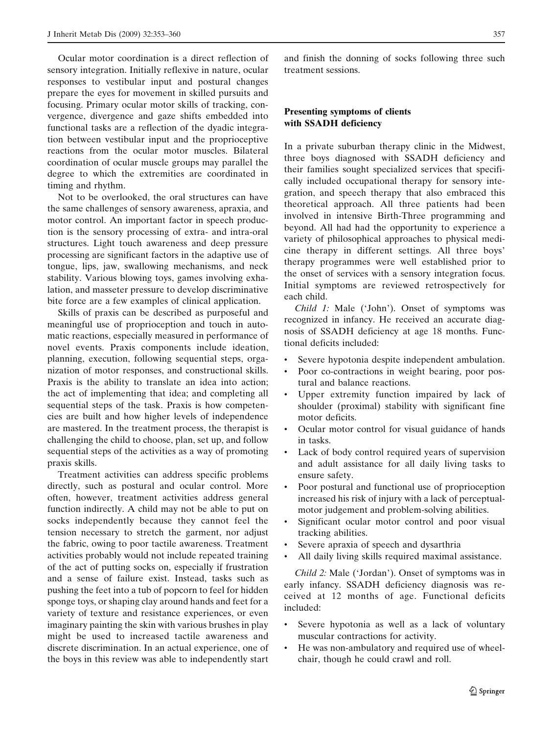Ocular motor coordination is a direct reflection of sensory integration. Initially reflexive in nature, ocular responses to vestibular input and postural changes prepare the eyes for movement in skilled pursuits and focusing. Primary ocular motor skills of tracking, convergence, divergence and gaze shifts embedded into functional tasks are a reflection of the dyadic integration between vestibular input and the proprioceptive reactions from the ocular motor muscles. Bilateral coordination of ocular muscle groups may parallel the degree to which the extremities are coordinated in timing and rhythm.

Not to be overlooked, the oral structures can have the same challenges of sensory awareness, apraxia, and motor control. An important factor in speech production is the sensory processing of extra- and intra-oral structures. Light touch awareness and deep pressure processing are significant factors in the adaptive use of tongue, lips, jaw, swallowing mechanisms, and neck stability. Various blowing toys, games involving exhalation, and masseter pressure to develop discriminative bite force are a few examples of clinical application.

Skills of praxis can be described as purposeful and meaningful use of proprioception and touch in automatic reactions, especially measured in performance of novel events. Praxis components include ideation, planning, execution, following sequential steps, organization of motor responses, and constructional skills. Praxis is the ability to translate an idea into action; the act of implementing that idea; and completing all sequential steps of the task. Praxis is how competencies are built and how higher levels of independence are mastered. In the treatment process, the therapist is challenging the child to choose, plan, set up, and follow sequential steps of the activities as a way of promoting praxis skills.

Treatment activities can address specific problems directly, such as postural and ocular control. More often, however, treatment activities address general function indirectly. A child may not be able to put on socks independently because they cannot feel the tension necessary to stretch the garment, nor adjust the fabric, owing to poor tactile awareness. Treatment activities probably would not include repeated training of the act of putting socks on, especially if frustration and a sense of failure exist. Instead, tasks such as pushing the feet into a tub of popcorn to feel for hidden sponge toys, or shaping clay around hands and feet for a variety of texture and resistance experiences, or even imaginary painting the skin with various brushes in play might be used to increased tactile awareness and discrete discrimination. In an actual experience, one of the boys in this review was able to independently start

and finish the donning of socks following three such treatment sessions.

# Presenting symptoms of clients with SSADH deficiency

In a private suburban therapy clinic in the Midwest, three boys diagnosed with SSADH deficiency and their families sought specialized services that specifically included occupational therapy for sensory integration, and speech therapy that also embraced this theoretical approach. All three patients had been involved in intensive Birth-Three programming and beyond. All had had the opportunity to experience a variety of philosophical approaches to physical medicine therapy in different settings. All three boys' therapy programmes were well established prior to the onset of services with a sensory integration focus. Initial symptoms are reviewed retrospectively for each child.

Child 1: Male ('John'). Onset of symptoms was recognized in infancy. He received an accurate diagnosis of SSADH deficiency at age 18 months. Functional deficits included:

- Severe hypotonia despite independent ambulation.
- Poor co-contractions in weight bearing, poor postural and balance reactions.
- Upper extremity function impaired by lack of shoulder (proximal) stability with significant fine motor deficits.
- & Ocular motor control for visual guidance of hands in tasks.
- Lack of body control required years of supervision and adult assistance for all daily living tasks to ensure safety.
- & Poor postural and functional use of proprioception increased his risk of injury with a lack of perceptualmotor judgement and problem-solving abilities.
- Significant ocular motor control and poor visual tracking abilities.
- Severe apraxia of speech and dysarthria
- All daily living skills required maximal assistance.

Child 2: Male ('Jordan'). Onset of symptoms was in early infancy. SSADH deficiency diagnosis was received at 12 months of age. Functional deficits included:

- Severe hypotonia as well as a lack of voluntary muscular contractions for activity.
- He was non-ambulatory and required use of wheelchair, though he could crawl and roll.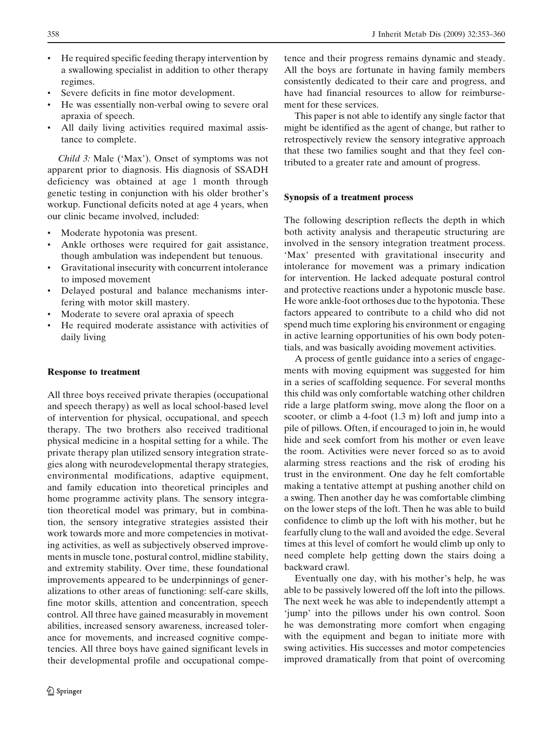- & He required specific feeding therapy intervention by a swallowing specialist in addition to other therapy regimes.
- Severe deficits in fine motor development.
- He was essentially non-verbal owing to severe oral apraxia of speech.
- All daily living activities required maximal assistance to complete.

Child 3: Male ('Max'). Onset of symptoms was not apparent prior to diagnosis. His diagnosis of SSADH deficiency was obtained at age 1 month through genetic testing in conjunction with his older brother's workup. Functional deficits noted at age 4 years, when our clinic became involved, included:

- & Moderate hypotonia was present.
- Ankle orthoses were required for gait assistance, though ambulation was independent but tenuous.
- & Gravitational insecurity with concurrent intolerance to imposed movement
- & Delayed postural and balance mechanisms interfering with motor skill mastery.
- Moderate to severe oral apraxia of speech
- & He required moderate assistance with activities of daily living

# Response to treatment

All three boys received private therapies (occupational and speech therapy) as well as local school-based level of intervention for physical, occupational, and speech therapy. The two brothers also received traditional physical medicine in a hospital setting for a while. The private therapy plan utilized sensory integration strategies along with neurodevelopmental therapy strategies, environmental modifications, adaptive equipment, and family education into theoretical principles and home programme activity plans. The sensory integration theoretical model was primary, but in combination, the sensory integrative strategies assisted their work towards more and more competencies in motivating activities, as well as subjectively observed improvements in muscle tone, postural control, midline stability, and extremity stability. Over time, these foundational improvements appeared to be underpinnings of generalizations to other areas of functioning: self-care skills, fine motor skills, attention and concentration, speech control. All three have gained measurably in movement abilities, increased sensory awareness, increased tolerance for movements, and increased cognitive competencies. All three boys have gained significant levels in their developmental profile and occupational compe-

tence and their progress remains dynamic and steady. All the boys are fortunate in having family members consistently dedicated to their care and progress, and have had financial resources to allow for reimbursement for these services.

This paper is not able to identify any single factor that might be identified as the agent of change, but rather to retrospectively review the sensory integrative approach that these two families sought and that they feel contributed to a greater rate and amount of progress.

# Synopsis of a treatment process

The following description reflects the depth in which both activity analysis and therapeutic structuring are involved in the sensory integration treatment process. 'Max' presented with gravitational insecurity and intolerance for movement was a primary indication for intervention. He lacked adequate postural control and protective reactions under a hypotonic muscle base. He wore ankle-foot orthoses due to the hypotonia. These factors appeared to contribute to a child who did not spend much time exploring his environment or engaging in active learning opportunities of his own body potentials, and was basically avoiding movement activities.

A process of gentle guidance into a series of engagements with moving equipment was suggested for him in a series of scaffolding sequence. For several months this child was only comfortable watching other children ride a large platform swing, move along the floor on a scooter, or climb a 4-foot (1.3 m) loft and jump into a pile of pillows. Often, if encouraged to join in, he would hide and seek comfort from his mother or even leave the room. Activities were never forced so as to avoid alarming stress reactions and the risk of eroding his trust in the environment. One day he felt comfortable making a tentative attempt at pushing another child on a swing. Then another day he was comfortable climbing on the lower steps of the loft. Then he was able to build confidence to climb up the loft with his mother, but he fearfully clung to the wall and avoided the edge. Several times at this level of comfort he would climb up only to need complete help getting down the stairs doing a backward crawl.

Eventually one day, with his mother's help, he was able to be passively lowered off the loft into the pillows. The next week he was able to independently attempt a Fiump' into the pillows under his own control. Soon he was demonstrating more comfort when engaging with the equipment and began to initiate more with swing activities. His successes and motor competencies improved dramatically from that point of overcoming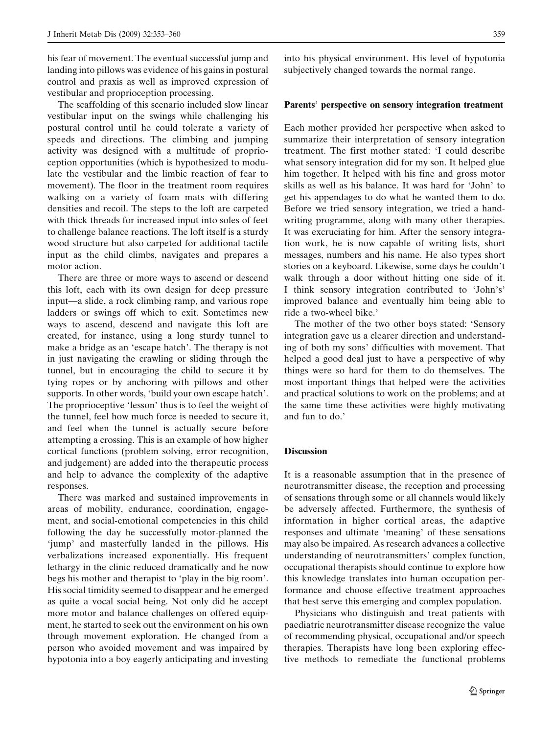his fear of movement. The eventual successful jump and landing into pillows was evidence of his gains in postural control and praxis as well as improved expression of vestibular and proprioception processing.

The scaffolding of this scenario included slow linear vestibular input on the swings while challenging his postural control until he could tolerate a variety of speeds and directions. The climbing and jumping activity was designed with a multitude of proprioception opportunities (which is hypothesized to modulate the vestibular and the limbic reaction of fear to movement). The floor in the treatment room requires walking on a variety of foam mats with differing densities and recoil. The steps to the loft are carpeted with thick threads for increased input into soles of feet to challenge balance reactions. The loft itself is a sturdy wood structure but also carpeted for additional tactile input as the child climbs, navigates and prepares a motor action.

There are three or more ways to ascend or descend this loft, each with its own design for deep pressure input—a slide, a rock climbing ramp, and various rope ladders or swings off which to exit. Sometimes new ways to ascend, descend and navigate this loft are created, for instance, using a long sturdy tunnel to make a bridge as an 'escape hatch'. The therapy is not in just navigating the crawling or sliding through the tunnel, but in encouraging the child to secure it by tying ropes or by anchoring with pillows and other supports. In other words, 'build your own escape hatch'. The proprioceptive 'lesson' thus is to feel the weight of the tunnel, feel how much force is needed to secure it, and feel when the tunnel is actually secure before attempting a crossing. This is an example of how higher cortical functions (problem solving, error recognition, and judgement) are added into the therapeutic process and help to advance the complexity of the adaptive responses.

There was marked and sustained improvements in areas of mobility, endurance, coordination, engagement, and social-emotional competencies in this child following the day he successfully motor-planned the 'jump' and masterfully landed in the pillows. His verbalizations increased exponentially. His frequent lethargy in the clinic reduced dramatically and he now begs his mother and therapist to 'play in the big room'. His social timidity seemed to disappear and he emerged as quite a vocal social being. Not only did he accept more motor and balance challenges on offered equipment, he started to seek out the environment on his own through movement exploration. He changed from a person who avoided movement and was impaired by hypotonia into a boy eagerly anticipating and investing into his physical environment. His level of hypotonia subjectively changed towards the normal range.

## Parents' perspective on sensory integration treatment

Each mother provided her perspective when asked to summarize their interpretation of sensory integration treatment. The first mother stated: 'I could describe what sensory integration did for my son. It helped glue him together. It helped with his fine and gross motor skills as well as his balance. It was hard for 'John' to get his appendages to do what he wanted them to do. Before we tried sensory integration, we tried a handwriting programme, along with many other therapies. It was excruciating for him. After the sensory integration work, he is now capable of writing lists, short messages, numbers and his name. He also types short stories on a keyboard. Likewise, some days he couldn\_t walk through a door without hitting one side of it. I think sensory integration contributed to 'John's' improved balance and eventually him being able to ride a two-wheel bike.'

The mother of the two other boys stated: 'Sensory integration gave us a clearer direction and understanding of both my sons' difficulties with movement. That helped a good deal just to have a perspective of why things were so hard for them to do themselves. The most important things that helped were the activities and practical solutions to work on the problems; and at the same time these activities were highly motivating and fun to do.

## **Discussion**

It is a reasonable assumption that in the presence of neurotransmitter disease, the reception and processing of sensations through some or all channels would likely be adversely affected. Furthermore, the synthesis of information in higher cortical areas, the adaptive responses and ultimate 'meaning' of these sensations may also be impaired. As research advances a collective understanding of neurotransmitters' complex function, occupational therapists should continue to explore how this knowledge translates into human occupation performance and choose effective treatment approaches that best serve this emerging and complex population.

Physicians who distinguish and treat patients with paediatric neurotransmitter disease recognize the value of recommending physical, occupational and/or speech therapies. Therapists have long been exploring effective methods to remediate the functional problems